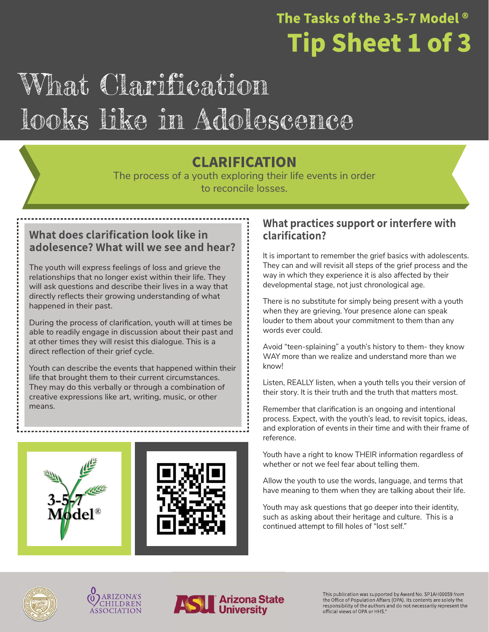### The Tasks of the 3-5-7 Model  $^{\circ}$ **Tip Sheet 1 of 3**

### What Clarification looks like in Adolescence

### **CLARIFICATION**

The process of a youth exploring their life events in order to reconcile losses.

#### What does clarification look like in adolesence? What will we see and hear?

The youth will express feelings of loss and grieve the relationships that no longer exist within their life. They will ask questions and describe their lives in a way that directly reflects their growing understanding of what happened in their past.

During the process of clarification, youth will at times be able to readily engage in discussion about their past and at other times they will resist this dialogue. This is a direct reflection of their grief cycle.

Youth can describe the events that happened within their life that brought them to their current circumstances. They may do this verbally or through a combination of creative expressions like art, writing, music, or other means.

#### What practices support or interfere with clarification?

It is important to remember the grief basics with adolescents. They can and will revisit all steps of the grief process and the way in which they experience it is also affected by their developmental stage, not just chronological age.

There is no substitute for simply being present with a youth when they are grieving. Your presence alone can speak louder to them about your commitment to them than any words ever could.

Avoid "teen-splaining" a youth's history to them- they know WAY more than we realize and understand more than we know!

Listen, REALLY listen, when a youth tells you their version of their story. It is their truth and the truth that matters most.

Remember that clarification is an ongoing and intentional process. Expect, with the youth's lead, to revisit topics, ideas, and exploration of events in their time and with their frame of reference.

Youth have a right to know THEIR information regardless of whether or not we feel fear about telling them.

Allow the youth to use the words, language, and terms that have meaning to them when they are talking about their life.

Youth may ask questions that go deeper into their identity, such as asking about their heritage and culture. This is a continued attempt to fill holes of "lost self."







This publication was supported by Award No. SP1AH00059 from the Office of Population Affairs (OPA). Its contents are solely the responsibility of the authors and do not necessarily represent the<br>official views of OPA or HHS."